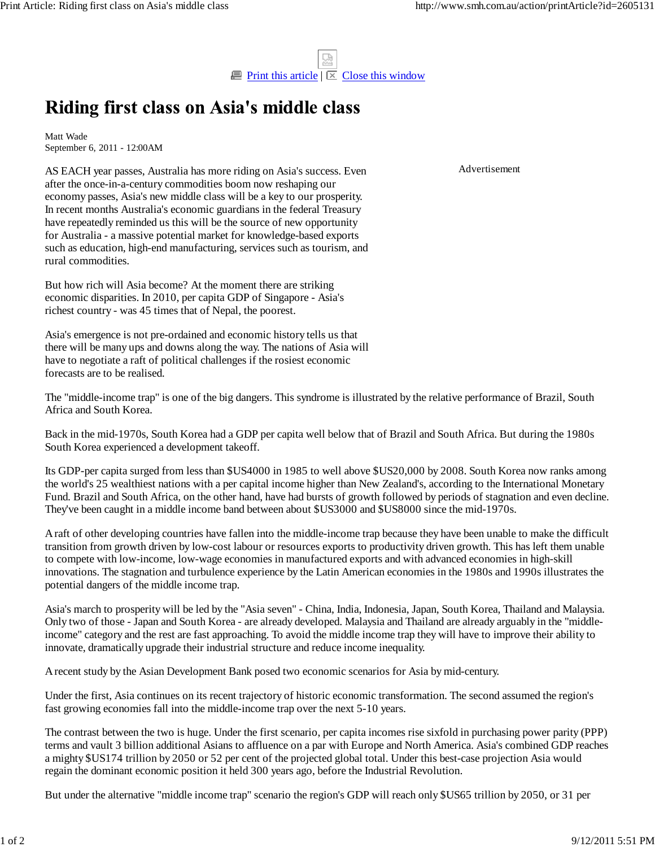

## Riding first class on Asia's middle class

Matt Wade September 6, 2011 - 12:00AM

AS EACH year passes, Australia has more riding on Asia's success. Even after the once-in-a-century commodities boom now reshaping our economy passes, Asia's new middle class will be a key to our prosperity. In recent months Australia's economic guardians in the federal Treasury have repeatedly reminded us this will be the source of new opportunity for Australia - a massive potential market for knowledge-based exports such as education, high-end manufacturing, services such as tourism, and rural commodities.

But how rich will Asia become? At the moment there are striking economic disparities. In 2010, per capita GDP of Singapore - Asia's richest country - was 45 times that of Nepal, the poorest.

Asia's emergence is not pre-ordained and economic history tells us that there will be many ups and downs along the way. The nations of Asia will have to negotiate a raft of political challenges if the rosiest economic forecasts are to be realised.

The "middle-income trap" is one of the big dangers. This syndrome is illustrated by the relative performance of Brazil, South Africa and South Korea.

Back in the mid-1970s, South Korea had a GDP per capita well below that of Brazil and South Africa. But during the 1980s South Korea experienced a development takeoff.

Its GDP-per capita surged from less than \$US4000 in 1985 to well above \$US20,000 by 2008. South Korea now ranks among the world's 25 wealthiest nations with a per capital income higher than New Zealand's, according to the International Monetary Fund. Brazil and South Africa, on the other hand, have had bursts of growth followed by periods of stagnation and even decline. They've been caught in a middle income band between about \$US3000 and \$US8000 since the mid-1970s.

A raft of other developing countries have fallen into the middle-income trap because they have been unable to make the difficult transition from growth driven by low-cost labour or resources exports to productivity driven growth. This has left them unable to compete with low-income, low-wage economies in manufactured exports and with advanced economies in high-skill innovations. The stagnation and turbulence experience by the Latin American economies in the 1980s and 1990s illustrates the potential dangers of the middle income trap.

Asia's march to prosperity will be led by the "Asia seven" - China, India, Indonesia, Japan, South Korea, Thailand and Malaysia. Only two of those - Japan and South Korea - are already developed. Malaysia and Thailand are already arguably in the "middleincome" category and the rest are fast approaching. To avoid the middle income trap they will have to improve their ability to innovate, dramatically upgrade their industrial structure and reduce income inequality.

A recent study by the Asian Development Bank posed two economic scenarios for Asia by mid-century.

Under the first, Asia continues on its recent trajectory of historic economic transformation. The second assumed the region's fast growing economies fall into the middle-income trap over the next 5-10 years.

The contrast between the two is huge. Under the first scenario, per capita incomes rise sixfold in purchasing power parity (PPP) terms and vault 3 billion additional Asians to affluence on a par with Europe and North America. Asia's combined GDP reaches a mighty \$US174 trillion by 2050 or 52 per cent of the projected global total. Under this best-case projection Asia would regain the dominant economic position it held 300 years ago, before the Industrial Revolution.

But under the alternative "middle income trap" scenario the region's GDP will reach only \$US65 trillion by 2050, or 31 per

Advertisement